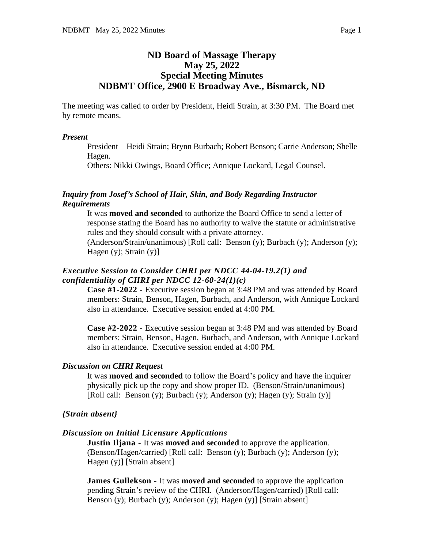## **ND Board of Massage Therapy May 25, 2022 Special Meeting Minutes NDBMT Office, 2900 E Broadway Ave., Bismarck, ND**

The meeting was called to order by President, Heidi Strain, at 3:30 PM. The Board met by remote means.

#### *Present*

President – Heidi Strain; Brynn Burbach; Robert Benson; Carrie Anderson; Shelle Hagen.

Others: Nikki Owings, Board Office; Annique Lockard, Legal Counsel.

#### *Inquiry from Josef's School of Hair, Skin, and Body Regarding Instructor Requirements*

It was **moved and seconded** to authorize the Board Office to send a letter of response stating the Board has no authority to waive the statute or administrative rules and they should consult with a private attorney.

(Anderson/Strain/unanimous) [Roll call: Benson (y); Burbach (y); Anderson (y); Hagen  $(y)$ ; Strain  $(y)$ ]

### *Executive Session to Consider CHRI per NDCC 44-04-19.2(1) and confidentiality of CHRI per NDCC 12-60-24(1)(c)*

**Case #1-2022 -** Executive session began at 3:48 PM and was attended by Board members: Strain, Benson, Hagen, Burbach, and Anderson, with Annique Lockard also in attendance. Executive session ended at 4:00 PM.

**Case #2-2022 -** Executive session began at 3:48 PM and was attended by Board members: Strain, Benson, Hagen, Burbach, and Anderson, with Annique Lockard also in attendance. Executive session ended at 4:00 PM.

#### *Discussion on CHRI Request*

It was **moved and seconded** to follow the Board's policy and have the inquirer physically pick up the copy and show proper ID. (Benson/Strain/unanimous) [Roll call: Benson (y); Burbach (y); Anderson (y); Hagen (y); Strain (y)]

#### *{Strain absent}*

#### *Discussion on Initial Licensure Applications*

**Justin Iljana -** It was **moved and seconded** to approve the application. (Benson/Hagen/carried) [Roll call: Benson (y); Burbach (y); Anderson (y); Hagen (y)] [Strain absent]

**James Gullekson -** It was **moved and seconded** to approve the application pending Strain's review of the CHRI. (Anderson/Hagen/carried) [Roll call: Benson (y); Burbach (y); Anderson (y); Hagen (y)] [Strain absent]